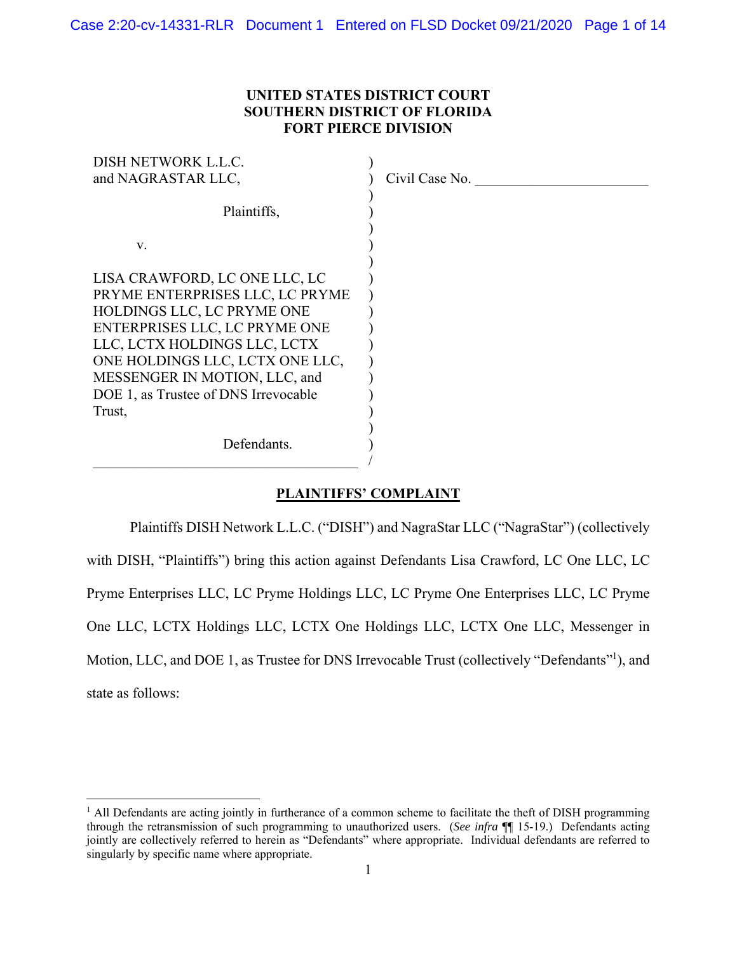# **UNITED STATES DISTRICT COURT SOUTHERN DISTRICT OF FLORIDA FORT PIERCE DIVISION**

| DISH NETWORK L.L.C.                  |                |
|--------------------------------------|----------------|
| and NAGRASTAR LLC,                   | Civil Case No. |
|                                      |                |
| Plaintiffs,                          |                |
|                                      |                |
| V.                                   |                |
|                                      |                |
| LISA CRAWFORD, LC ONE LLC, LC        |                |
| PRYME ENTERPRISES LLC, LC PRYME      |                |
| HOLDINGS LLC, LC PRYME ONE           |                |
| ENTERPRISES LLC, LC PRYME ONE        |                |
| LLC, LCTX HOLDINGS LLC, LCTX         |                |
| ONE HOLDINGS LLC, LCTX ONE LLC,      |                |
| MESSENGER IN MOTION, LLC, and        |                |
| DOE 1, as Trustee of DNS Irrevocable |                |
| Trust,                               |                |
|                                      |                |
| Defendants.                          |                |
|                                      |                |

## **PLAINTIFFS' COMPLAINT**

Plaintiffs DISH Network L.L.C. ("DISH") and NagraStar LLC ("NagraStar") (collectively with DISH, "Plaintiffs") bring this action against Defendants Lisa Crawford, LC One LLC, LC Pryme Enterprises LLC, LC Pryme Holdings LLC, LC Pryme One Enterprises LLC, LC Pryme One LLC, LCTX Holdings LLC, LCTX One Holdings LLC, LCTX One LLC, Messenger in Motion, LLC, and DOE 1, as Trustee for DNS Irrevocable Trust (collectively "Defendants"<sup>1</sup>), and state as follows:

<sup>&</sup>lt;sup>1</sup> All Defendants are acting jointly in furtherance of a common scheme to facilitate the theft of DISH programming through the retransmission of such programming to unauthorized users. (*See infra* ¶¶ 15-19.) Defendants acting jointly are collectively referred to herein as "Defendants" where appropriate. Individual defendants are referred to singularly by specific name where appropriate.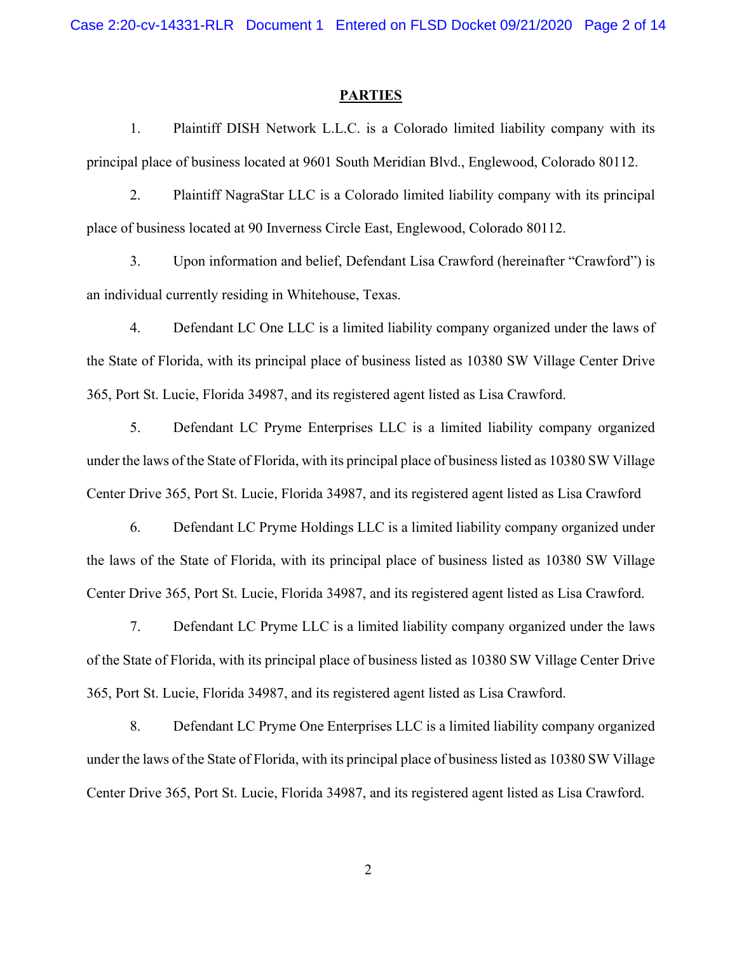Case 2:20-cv-14331-RLR Document 1 Entered on FLSD Docket 09/21/2020 Page 2 of 14

#### **PARTIES**

1. Plaintiff DISH Network L.L.C. is a Colorado limited liability company with its principal place of business located at 9601 South Meridian Blvd., Englewood, Colorado 80112.

2. Plaintiff NagraStar LLC is a Colorado limited liability company with its principal place of business located at 90 Inverness Circle East, Englewood, Colorado 80112.

3. Upon information and belief, Defendant Lisa Crawford (hereinafter "Crawford") is an individual currently residing in Whitehouse, Texas.

4. Defendant LC One LLC is a limited liability company organized under the laws of the State of Florida, with its principal place of business listed as 10380 SW Village Center Drive 365, Port St. Lucie, Florida 34987, and its registered agent listed as Lisa Crawford.

5. Defendant LC Pryme Enterprises LLC is a limited liability company organized under the laws of the State of Florida, with its principal place of business listed as 10380 SW Village Center Drive 365, Port St. Lucie, Florida 34987, and its registered agent listed as Lisa Crawford

6. Defendant LC Pryme Holdings LLC is a limited liability company organized under the laws of the State of Florida, with its principal place of business listed as 10380 SW Village Center Drive 365, Port St. Lucie, Florida 34987, and its registered agent listed as Lisa Crawford.

7. Defendant LC Pryme LLC is a limited liability company organized under the laws of the State of Florida, with its principal place of business listed as 10380 SW Village Center Drive 365, Port St. Lucie, Florida 34987, and its registered agent listed as Lisa Crawford.

8. Defendant LC Pryme One Enterprises LLC is a limited liability company organized under the laws of the State of Florida, with its principal place of business listed as 10380 SW Village Center Drive 365, Port St. Lucie, Florida 34987, and its registered agent listed as Lisa Crawford.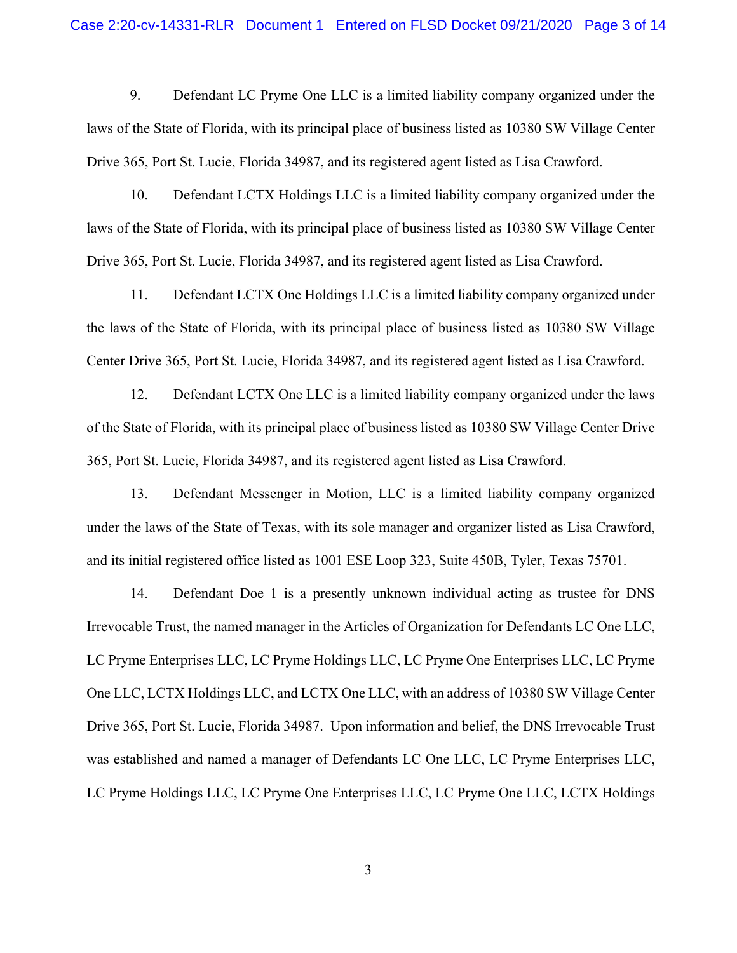9. Defendant LC Pryme One LLC is a limited liability company organized under the laws of the State of Florida, with its principal place of business listed as 10380 SW Village Center Drive 365, Port St. Lucie, Florida 34987, and its registered agent listed as Lisa Crawford.

10. Defendant LCTX Holdings LLC is a limited liability company organized under the laws of the State of Florida, with its principal place of business listed as 10380 SW Village Center Drive 365, Port St. Lucie, Florida 34987, and its registered agent listed as Lisa Crawford.

11. Defendant LCTX One Holdings LLC is a limited liability company organized under the laws of the State of Florida, with its principal place of business listed as 10380 SW Village Center Drive 365, Port St. Lucie, Florida 34987, and its registered agent listed as Lisa Crawford.

12. Defendant LCTX One LLC is a limited liability company organized under the laws of the State of Florida, with its principal place of business listed as 10380 SW Village Center Drive 365, Port St. Lucie, Florida 34987, and its registered agent listed as Lisa Crawford.

13. Defendant Messenger in Motion, LLC is a limited liability company organized under the laws of the State of Texas, with its sole manager and organizer listed as Lisa Crawford, and its initial registered office listed as 1001 ESE Loop 323, Suite 450B, Tyler, Texas 75701.

14. Defendant Doe 1 is a presently unknown individual acting as trustee for DNS Irrevocable Trust, the named manager in the Articles of Organization for Defendants LC One LLC, LC Pryme Enterprises LLC, LC Pryme Holdings LLC, LC Pryme One Enterprises LLC, LC Pryme One LLC, LCTX Holdings LLC, and LCTX One LLC, with an address of 10380 SW Village Center Drive 365, Port St. Lucie, Florida 34987. Upon information and belief, the DNS Irrevocable Trust was established and named a manager of Defendants LC One LLC, LC Pryme Enterprises LLC, LC Pryme Holdings LLC, LC Pryme One Enterprises LLC, LC Pryme One LLC, LCTX Holdings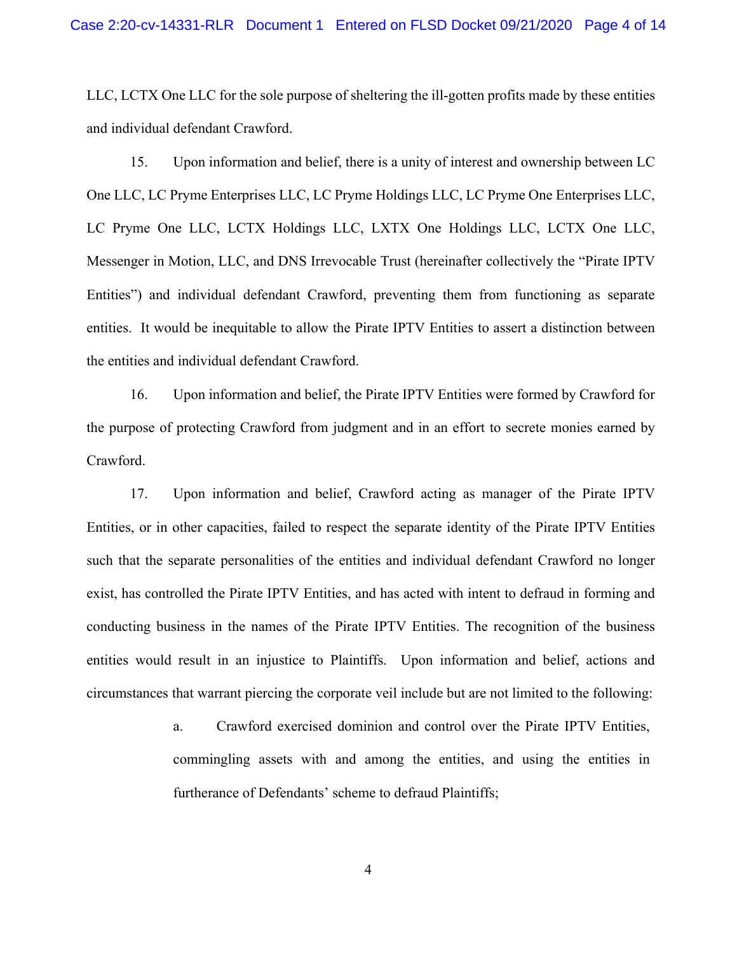LLC, LCTX One LLC for the sole purpose of sheltering the ill-gotten profits made by these entities and individual defendant Crawford.

15. Upon information and belief, there is a unity of interest and ownership between LC One LLC, LC Pryme Enterprises LLC, LC Pryme Holdings LLC, LC Pryme One Enterprises LLC, LC Pryme One LLC, LCTX Holdings LLC, LXTX One Holdings LLC, LCTX One LLC, Messenger in Motion, LLC, and DNS Irrevocable Trust (hereinafter collectively the "Pirate IPTV Entities") and individual defendant Crawford, preventing them from functioning as separate entities. It would be inequitable to allow the Pirate IPTV Entities to assert a distinction between the entities and individual defendant Crawford.

16. Upon information and belief, the Pirate IPTV Entities were formed by Crawford for the purpose of protecting Crawford from judgment and in an effort to secrete monies earned by Crawford.

17. Upon information and belief, Crawford acting as manager of the Pirate IPTV Entities, or in other capacities, failed to respect the separate identity of the Pirate IPTV Entities such that the separate personalities of the entities and individual defendant Crawford no longer exist, has controlled the Pirate IPTV Entities, and has acted with intent to defraud in forming and conducting business in the names of the Pirate IPTV Entities. The recognition of the business entities would result in an injustice to Plaintiffs. Upon information and belief, actions and circumstances that warrant piercing the corporate veil include but are not limited to the following:

> a. Crawford exercised dominion and control over the Pirate IPTV Entities, commingling assets with and among the entities, and using the entities in furtherance of Defendants' scheme to defraud Plaintiffs;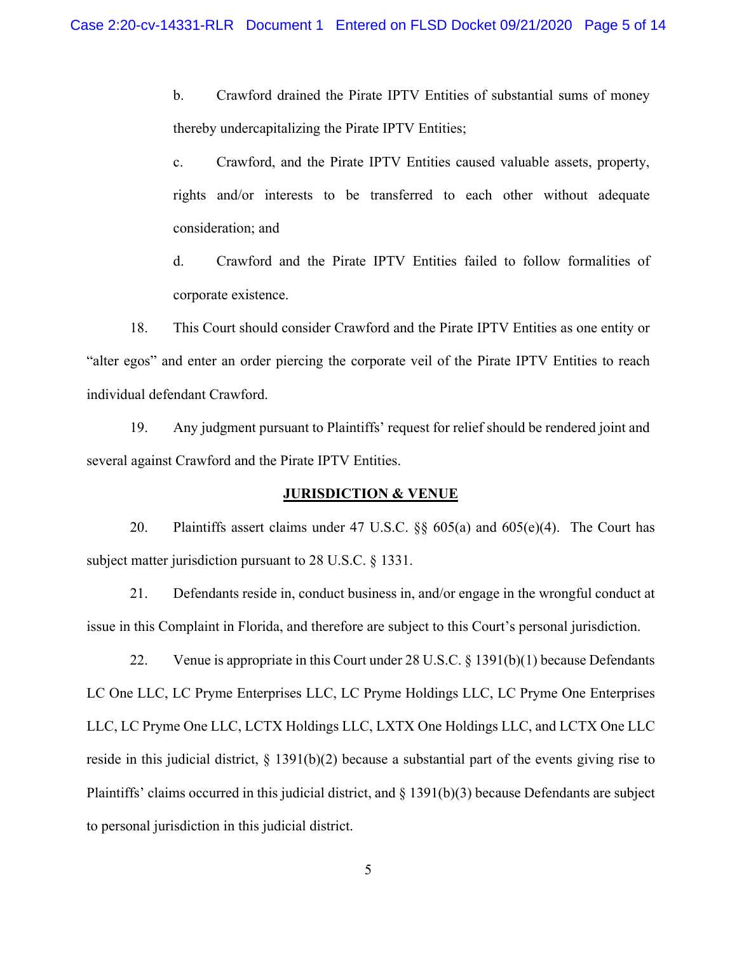b. Crawford drained the Pirate IPTV Entities of substantial sums of money thereby undercapitalizing the Pirate IPTV Entities;

c. Crawford, and the Pirate IPTV Entities caused valuable assets, property, rights and/or interests to be transferred to each other without adequate consideration; and

d. Crawford and the Pirate IPTV Entities failed to follow formalities of corporate existence.

18. This Court should consider Crawford and the Pirate IPTV Entities as one entity or "alter egos" and enter an order piercing the corporate veil of the Pirate IPTV Entities to reach individual defendant Crawford.

19. Any judgment pursuant to Plaintiffs' request for relief should be rendered joint and several against Crawford and the Pirate IPTV Entities.

### **JURISDICTION & VENUE**

20. Plaintiffs assert claims under 47 U.S.C. §§ 605(a) and 605(e)(4). The Court has subject matter jurisdiction pursuant to 28 U.S.C. § 1331.

21. Defendants reside in, conduct business in, and/or engage in the wrongful conduct at issue in this Complaint in Florida, and therefore are subject to this Court's personal jurisdiction.

22. Venue is appropriate in this Court under 28 U.S.C. § 1391(b)(1) because Defendants LC One LLC, LC Pryme Enterprises LLC, LC Pryme Holdings LLC, LC Pryme One Enterprises LLC, LC Pryme One LLC, LCTX Holdings LLC, LXTX One Holdings LLC, and LCTX One LLC reside in this judicial district, § 1391(b)(2) because a substantial part of the events giving rise to Plaintiffs' claims occurred in this judicial district, and § 1391(b)(3) because Defendants are subject to personal jurisdiction in this judicial district.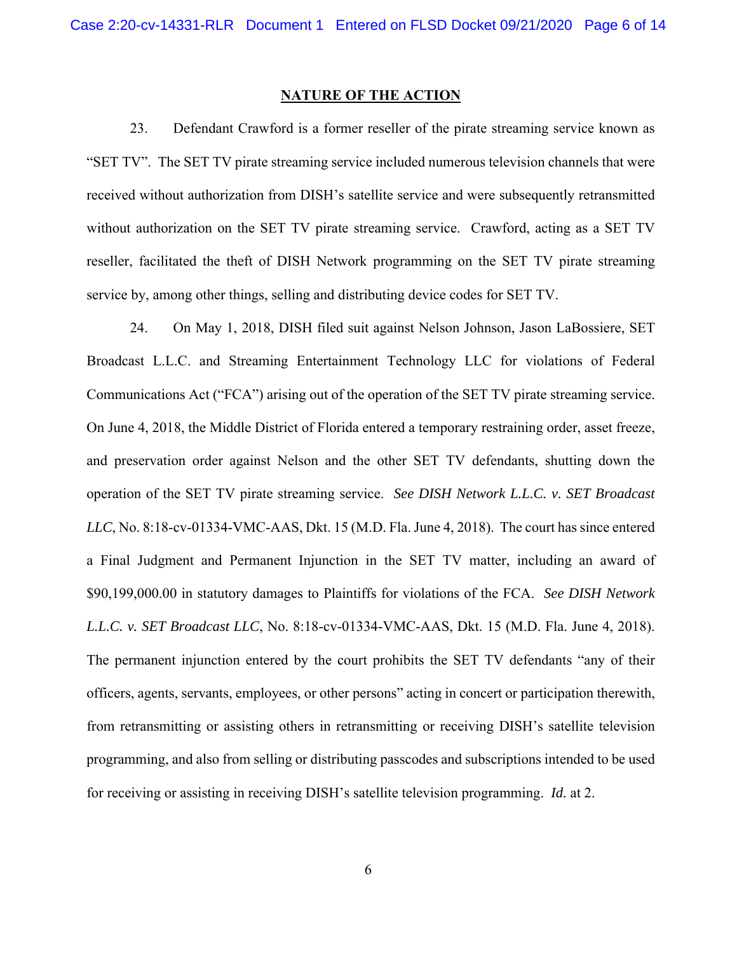## **NATURE OF THE ACTION**

23. Defendant Crawford is a former reseller of the pirate streaming service known as "SET TV". The SET TV pirate streaming service included numerous television channels that were received without authorization from DISH's satellite service and were subsequently retransmitted without authorization on the SET TV pirate streaming service. Crawford, acting as a SET TV reseller, facilitated the theft of DISH Network programming on the SET TV pirate streaming service by, among other things, selling and distributing device codes for SET TV.

24. On May 1, 2018, DISH filed suit against Nelson Johnson, Jason LaBossiere, SET Broadcast L.L.C. and Streaming Entertainment Technology LLC for violations of Federal Communications Act ("FCA") arising out of the operation of the SET TV pirate streaming service. On June 4, 2018, the Middle District of Florida entered a temporary restraining order, asset freeze, and preservation order against Nelson and the other SET TV defendants, shutting down the operation of the SET TV pirate streaming service. *See DISH Network L.L.C. v. SET Broadcast LLC*, No. 8:18-cv-01334-VMC-AAS, Dkt. 15 (M.D. Fla. June 4, 2018). The court has since entered a Final Judgment and Permanent Injunction in the SET TV matter, including an award of \$90,199,000.00 in statutory damages to Plaintiffs for violations of the FCA. *See DISH Network L.L.C. v. SET Broadcast LLC*, No. 8:18-cv-01334-VMC-AAS, Dkt. 15 (M.D. Fla. June 4, 2018). The permanent injunction entered by the court prohibits the SET TV defendants "any of their officers, agents, servants, employees, or other persons" acting in concert or participation therewith, from retransmitting or assisting others in retransmitting or receiving DISH's satellite television programming, and also from selling or distributing passcodes and subscriptions intended to be used for receiving or assisting in receiving DISH's satellite television programming. *Id.* at 2.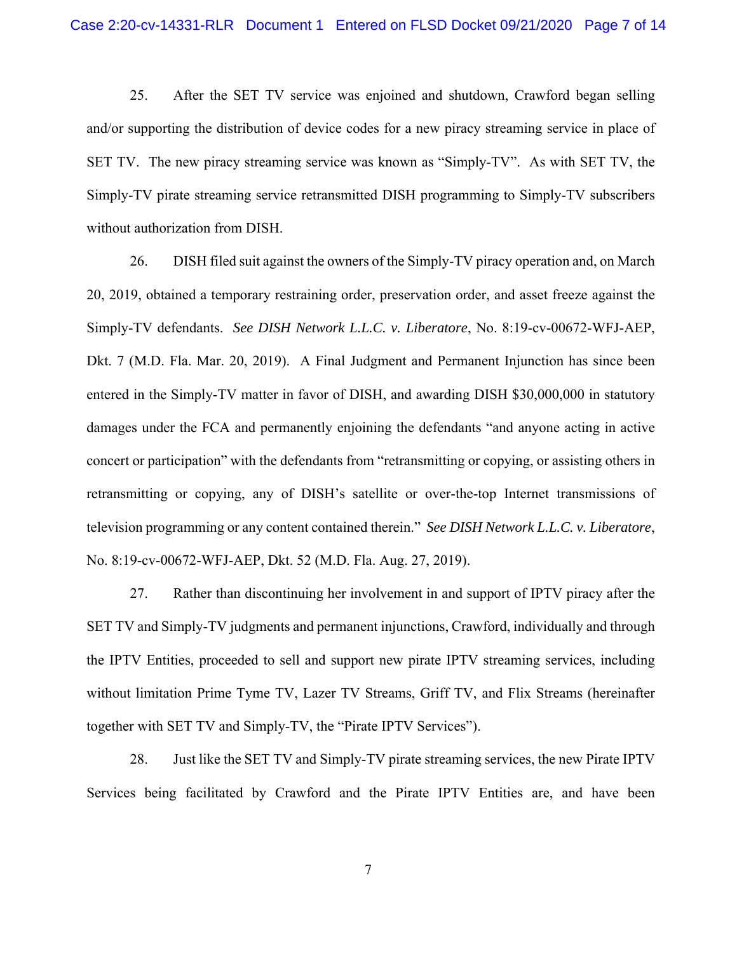25. After the SET TV service was enjoined and shutdown, Crawford began selling and/or supporting the distribution of device codes for a new piracy streaming service in place of SET TV. The new piracy streaming service was known as "Simply-TV". As with SET TV, the Simply-TV pirate streaming service retransmitted DISH programming to Simply-TV subscribers without authorization from DISH.

26. DISH filed suit against the owners of the Simply-TV piracy operation and, on March 20, 2019, obtained a temporary restraining order, preservation order, and asset freeze against the Simply-TV defendants. *See DISH Network L.L.C. v. Liberatore*, No. 8:19-cv-00672-WFJ-AEP, Dkt. 7 (M.D. Fla. Mar. 20, 2019). A Final Judgment and Permanent Injunction has since been entered in the Simply-TV matter in favor of DISH, and awarding DISH \$30,000,000 in statutory damages under the FCA and permanently enjoining the defendants "and anyone acting in active concert or participation" with the defendants from "retransmitting or copying, or assisting others in retransmitting or copying, any of DISH's satellite or over-the-top Internet transmissions of television programming or any content contained therein." *See DISH Network L.L.C. v. Liberatore*, No. 8:19-cv-00672-WFJ-AEP, Dkt. 52 (M.D. Fla. Aug. 27, 2019).

27. Rather than discontinuing her involvement in and support of IPTV piracy after the SET TV and Simply-TV judgments and permanent injunctions, Crawford, individually and through the IPTV Entities, proceeded to sell and support new pirate IPTV streaming services, including without limitation Prime Tyme TV, Lazer TV Streams, Griff TV, and Flix Streams (hereinafter together with SET TV and Simply-TV, the "Pirate IPTV Services").

28. Just like the SET TV and Simply-TV pirate streaming services, the new Pirate IPTV Services being facilitated by Crawford and the Pirate IPTV Entities are, and have been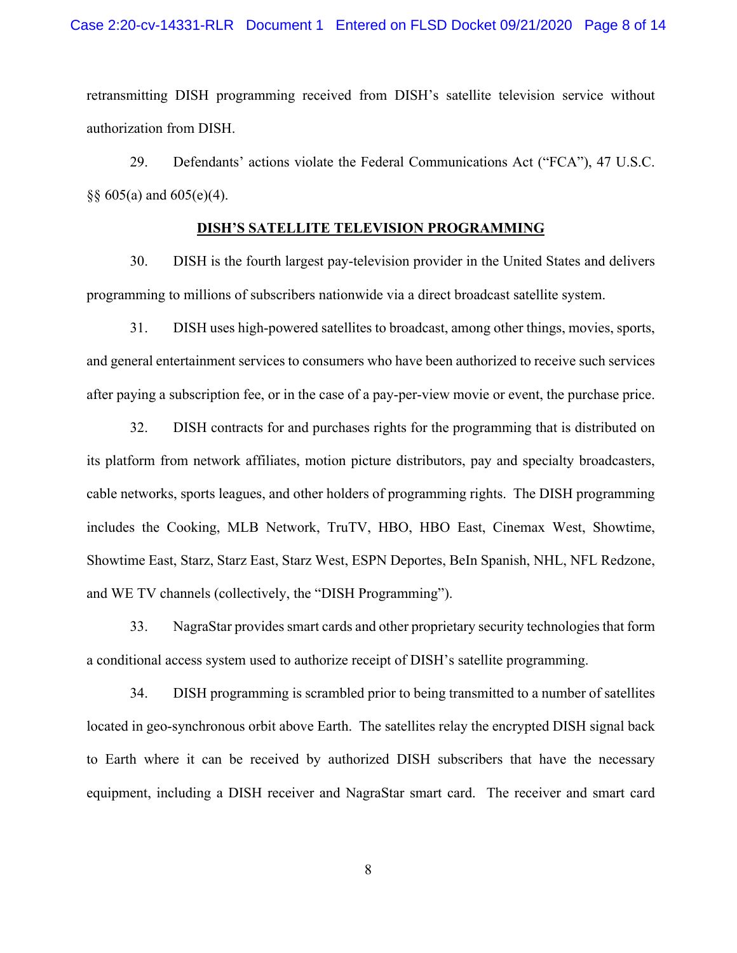retransmitting DISH programming received from DISH's satellite television service without authorization from DISH.

29. Defendants' actions violate the Federal Communications Act ("FCA"), 47 U.S.C. §§  $605(a)$  and  $605(e)(4)$ .

## **DISH'S SATELLITE TELEVISION PROGRAMMING**

30. DISH is the fourth largest pay-television provider in the United States and delivers programming to millions of subscribers nationwide via a direct broadcast satellite system.

31. DISH uses high-powered satellites to broadcast, among other things, movies, sports, and general entertainment services to consumers who have been authorized to receive such services after paying a subscription fee, or in the case of a pay-per-view movie or event, the purchase price.

32. DISH contracts for and purchases rights for the programming that is distributed on its platform from network affiliates, motion picture distributors, pay and specialty broadcasters, cable networks, sports leagues, and other holders of programming rights. The DISH programming includes the Cooking, MLB Network, TruTV, HBO, HBO East, Cinemax West, Showtime, Showtime East, Starz, Starz East, Starz West, ESPN Deportes, BeIn Spanish, NHL, NFL Redzone, and WE TV channels (collectively, the "DISH Programming").

33. NagraStar provides smart cards and other proprietary security technologies that form a conditional access system used to authorize receipt of DISH's satellite programming.

34. DISH programming is scrambled prior to being transmitted to a number of satellites located in geo-synchronous orbit above Earth. The satellites relay the encrypted DISH signal back to Earth where it can be received by authorized DISH subscribers that have the necessary equipment, including a DISH receiver and NagraStar smart card. The receiver and smart card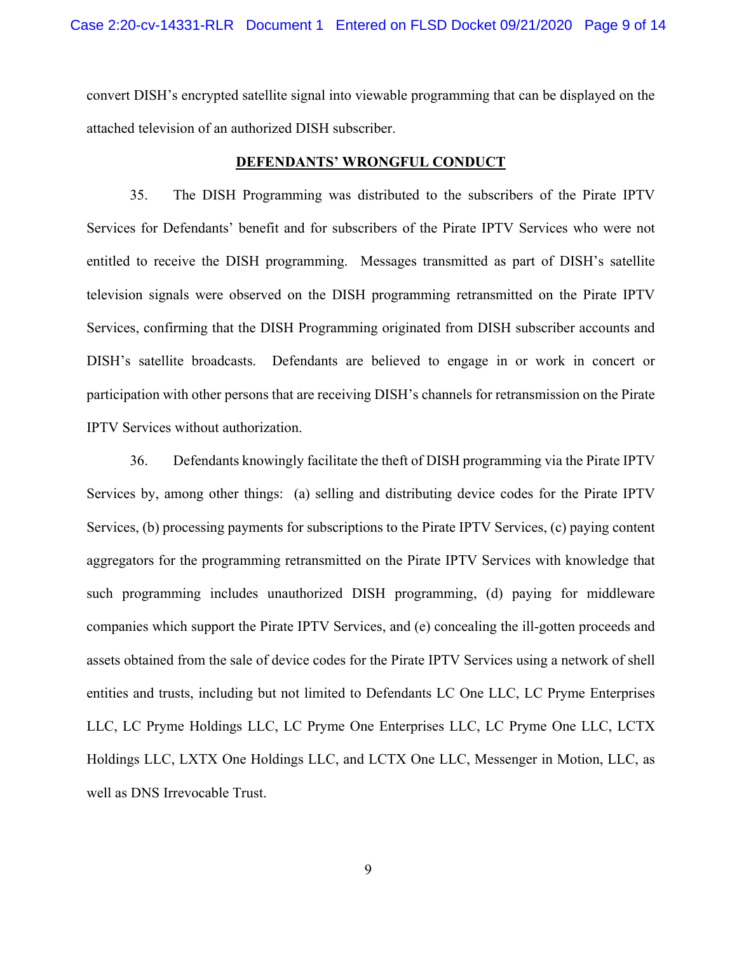convert DISH's encrypted satellite signal into viewable programming that can be displayed on the attached television of an authorized DISH subscriber.

### **DEFENDANTS' WRONGFUL CONDUCT**

35. The DISH Programming was distributed to the subscribers of the Pirate IPTV Services for Defendants' benefit and for subscribers of the Pirate IPTV Services who were not entitled to receive the DISH programming. Messages transmitted as part of DISH's satellite television signals were observed on the DISH programming retransmitted on the Pirate IPTV Services, confirming that the DISH Programming originated from DISH subscriber accounts and DISH's satellite broadcasts. Defendants are believed to engage in or work in concert or participation with other persons that are receiving DISH's channels for retransmission on the Pirate IPTV Services without authorization.

36. Defendants knowingly facilitate the theft of DISH programming via the Pirate IPTV Services by, among other things: (a) selling and distributing device codes for the Pirate IPTV Services, (b) processing payments for subscriptions to the Pirate IPTV Services, (c) paying content aggregators for the programming retransmitted on the Pirate IPTV Services with knowledge that such programming includes unauthorized DISH programming, (d) paying for middleware companies which support the Pirate IPTV Services, and (e) concealing the ill-gotten proceeds and assets obtained from the sale of device codes for the Pirate IPTV Services using a network of shell entities and trusts, including but not limited to Defendants LC One LLC, LC Pryme Enterprises LLC, LC Pryme Holdings LLC, LC Pryme One Enterprises LLC, LC Pryme One LLC, LCTX Holdings LLC, LXTX One Holdings LLC, and LCTX One LLC, Messenger in Motion, LLC, as well as DNS Irrevocable Trust.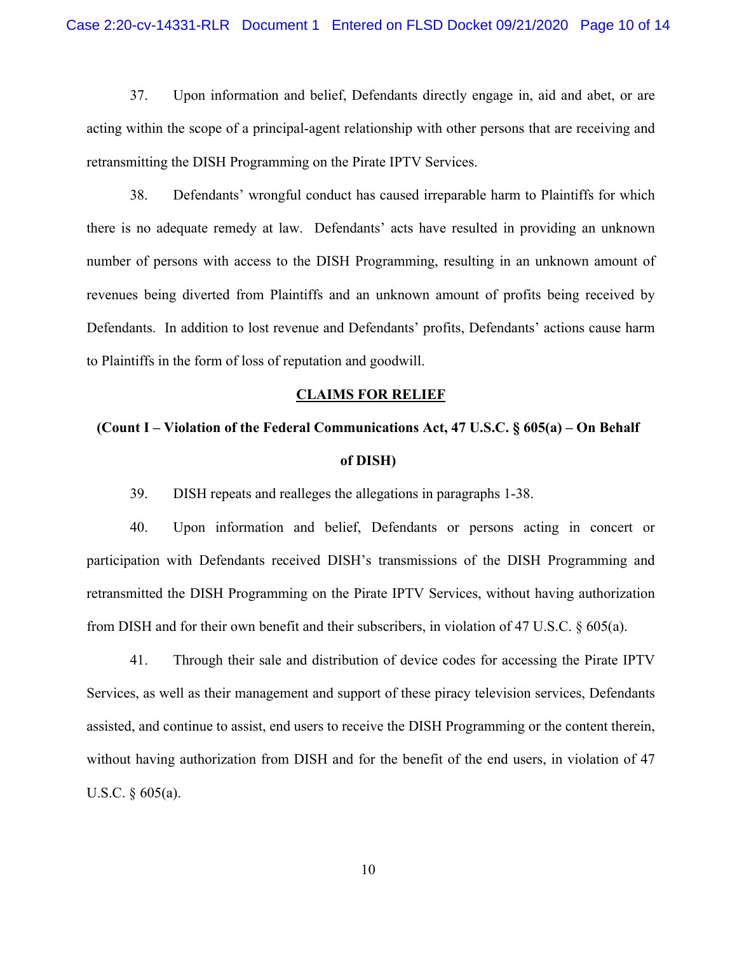37. Upon information and belief, Defendants directly engage in, aid and abet, or are acting within the scope of a principal-agent relationship with other persons that are receiving and retransmitting the DISH Programming on the Pirate IPTV Services.

38. Defendants' wrongful conduct has caused irreparable harm to Plaintiffs for which there is no adequate remedy at law. Defendants' acts have resulted in providing an unknown number of persons with access to the DISH Programming, resulting in an unknown amount of revenues being diverted from Plaintiffs and an unknown amount of profits being received by Defendants. In addition to lost revenue and Defendants' profits, Defendants' actions cause harm to Plaintiffs in the form of loss of reputation and goodwill.

#### **CLAIMS FOR RELIEF**

# **(Count I – Violation of the Federal Communications Act, 47 U.S.C. § 605(a) – On Behalf of DISH)**

39. DISH repeats and realleges the allegations in paragraphs 1-38.

40. Upon information and belief, Defendants or persons acting in concert or participation with Defendants received DISH's transmissions of the DISH Programming and retransmitted the DISH Programming on the Pirate IPTV Services, without having authorization from DISH and for their own benefit and their subscribers, in violation of 47 U.S.C. § 605(a).

41. Through their sale and distribution of device codes for accessing the Pirate IPTV Services, as well as their management and support of these piracy television services, Defendants assisted, and continue to assist, end users to receive the DISH Programming or the content therein, without having authorization from DISH and for the benefit of the end users, in violation of 47 U.S.C. § 605(a).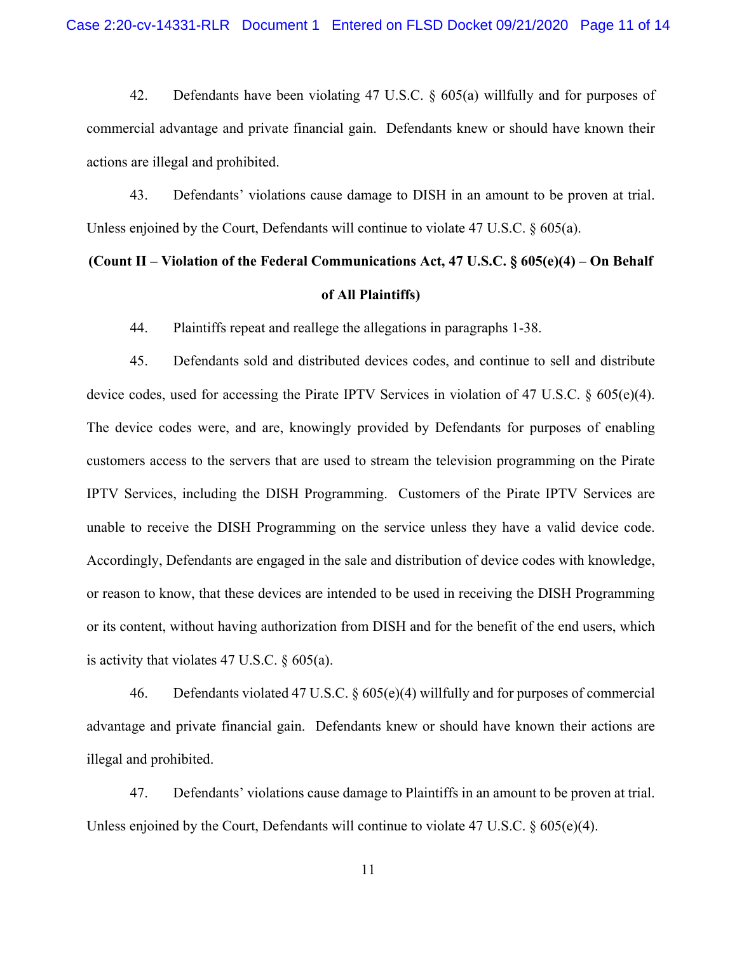42. Defendants have been violating 47 U.S.C. § 605(a) willfully and for purposes of commercial advantage and private financial gain. Defendants knew or should have known their actions are illegal and prohibited.

43. Defendants' violations cause damage to DISH in an amount to be proven at trial. Unless enjoined by the Court, Defendants will continue to violate 47 U.S.C. § 605(a).

# **(Count II – Violation of the Federal Communications Act, 47 U.S.C. § 605(e)(4) – On Behalf of All Plaintiffs)**

44. Plaintiffs repeat and reallege the allegations in paragraphs 1-38.

45. Defendants sold and distributed devices codes, and continue to sell and distribute device codes, used for accessing the Pirate IPTV Services in violation of 47 U.S.C. § 605(e)(4). The device codes were, and are, knowingly provided by Defendants for purposes of enabling customers access to the servers that are used to stream the television programming on the Pirate IPTV Services, including the DISH Programming. Customers of the Pirate IPTV Services are unable to receive the DISH Programming on the service unless they have a valid device code. Accordingly, Defendants are engaged in the sale and distribution of device codes with knowledge, or reason to know, that these devices are intended to be used in receiving the DISH Programming or its content, without having authorization from DISH and for the benefit of the end users, which is activity that violates 47 U.S.C. § 605(a).

46. Defendants violated 47 U.S.C. § 605(e)(4) willfully and for purposes of commercial advantage and private financial gain. Defendants knew or should have known their actions are illegal and prohibited.

47. Defendants' violations cause damage to Plaintiffs in an amount to be proven at trial. Unless enjoined by the Court, Defendants will continue to violate 47 U.S.C. § 605(e)(4).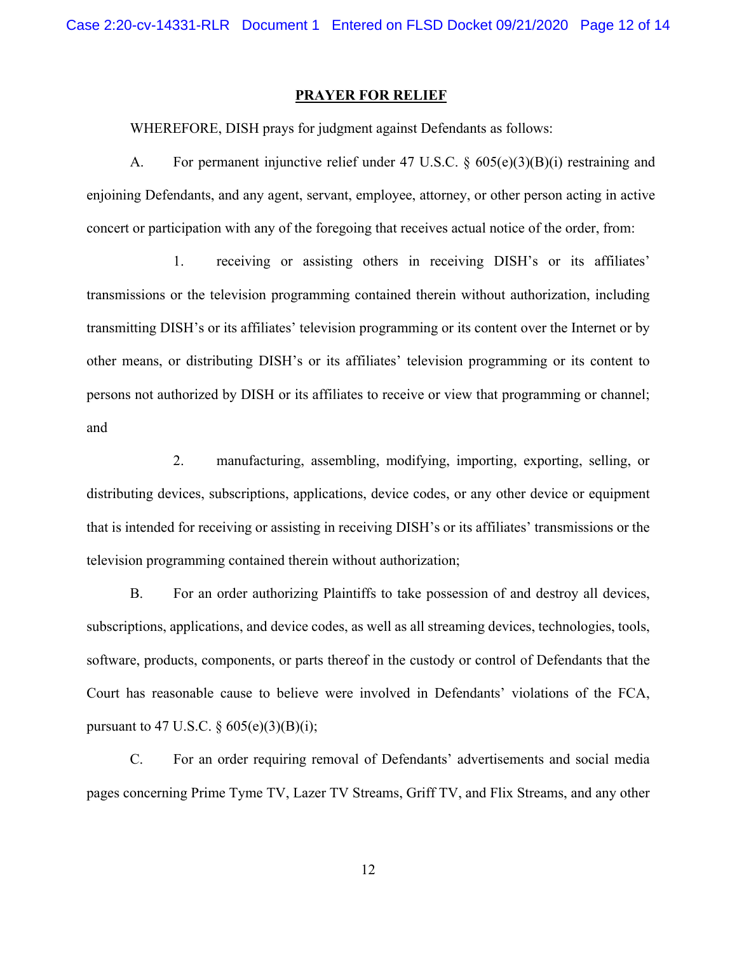#### **PRAYER FOR RELIEF**

WHEREFORE, DISH prays for judgment against Defendants as follows:

 A. For permanent injunctive relief under 47 U.S.C. § 605(e)(3)(B)(i) restraining and enjoining Defendants, and any agent, servant, employee, attorney, or other person acting in active concert or participation with any of the foregoing that receives actual notice of the order, from:

1. receiving or assisting others in receiving DISH's or its affiliates' transmissions or the television programming contained therein without authorization, including transmitting DISH's or its affiliates' television programming or its content over the Internet or by other means, or distributing DISH's or its affiliates' television programming or its content to persons not authorized by DISH or its affiliates to receive or view that programming or channel; and

2. manufacturing, assembling, modifying, importing, exporting, selling, or distributing devices, subscriptions, applications, device codes, or any other device or equipment that is intended for receiving or assisting in receiving DISH's or its affiliates' transmissions or the television programming contained therein without authorization;

B. For an order authorizing Plaintiffs to take possession of and destroy all devices, subscriptions, applications, and device codes, as well as all streaming devices, technologies, tools, software, products, components, or parts thereof in the custody or control of Defendants that the Court has reasonable cause to believe were involved in Defendants' violations of the FCA, pursuant to 47 U.S.C.  $\frac{605(e)(3)(B)(i)}{i}$ ;

C. For an order requiring removal of Defendants' advertisements and social media pages concerning Prime Tyme TV, Lazer TV Streams, Griff TV, and Flix Streams, and any other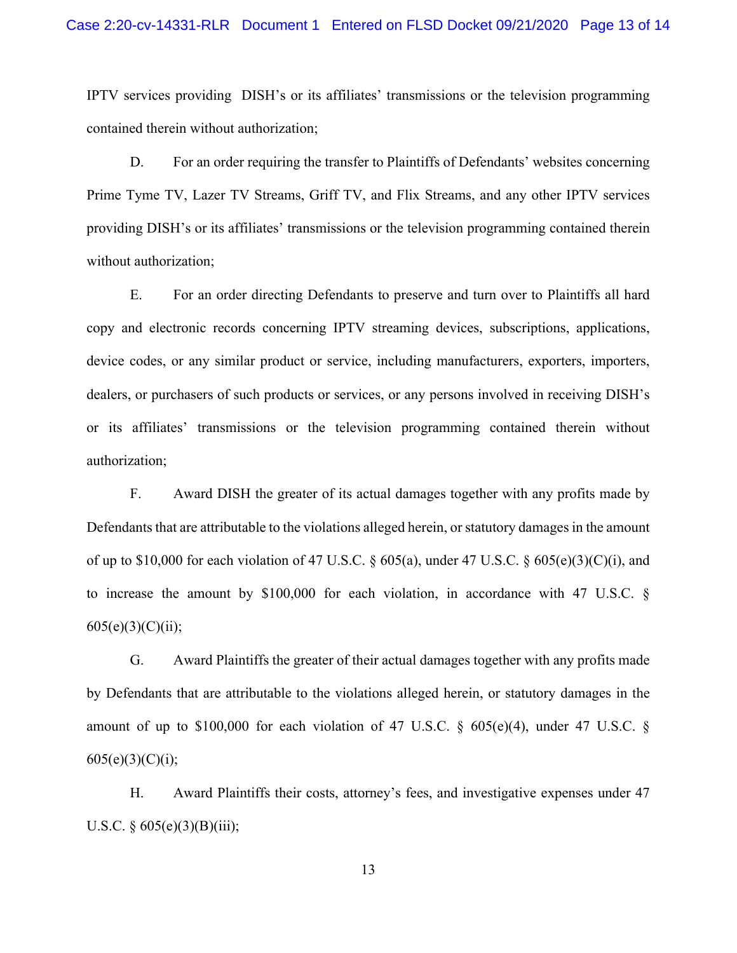IPTV services providing DISH's or its affiliates' transmissions or the television programming contained therein without authorization;

D. For an order requiring the transfer to Plaintiffs of Defendants' websites concerning Prime Tyme TV, Lazer TV Streams, Griff TV, and Flix Streams, and any other IPTV services providing DISH's or its affiliates' transmissions or the television programming contained therein without authorization;

E. For an order directing Defendants to preserve and turn over to Plaintiffs all hard copy and electronic records concerning IPTV streaming devices, subscriptions, applications, device codes, or any similar product or service, including manufacturers, exporters, importers, dealers, or purchasers of such products or services, or any persons involved in receiving DISH's or its affiliates' transmissions or the television programming contained therein without authorization;

F. Award DISH the greater of its actual damages together with any profits made by Defendants that are attributable to the violations alleged herein, or statutory damages in the amount of up to \$10,000 for each violation of 47 U.S.C.  $\S$  605(a), under 47 U.S.C.  $\S$  605(e)(3)(C)(i), and to increase the amount by \$100,000 for each violation, in accordance with 47 U.S.C. §  $605(e)(3)(C)(ii);$ 

G. Award Plaintiffs the greater of their actual damages together with any profits made by Defendants that are attributable to the violations alleged herein, or statutory damages in the amount of up to \$100,000 for each violation of 47 U.S.C.  $\S$  605(e)(4), under 47 U.S.C.  $\S$  $605(e)(3)(C)(i);$ 

H. Award Plaintiffs their costs, attorney's fees, and investigative expenses under 47 U.S.C.  $\S 605(e)(3)(B)(iii);$